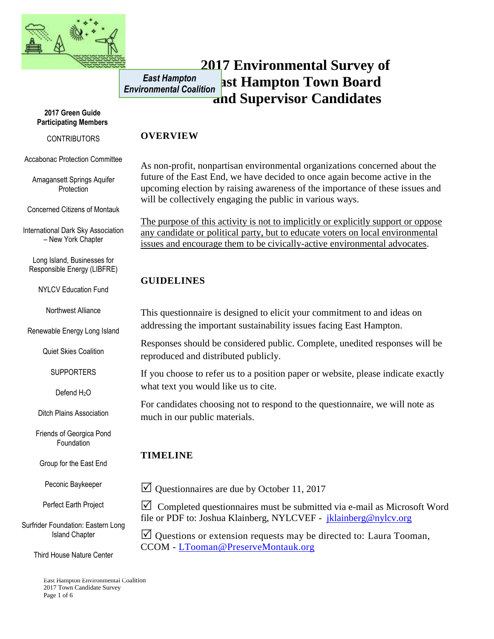

#### **2017 Environmental Survey of East Hampton Town Board and Supervisor Candidates** *East Hampton Environmental Coalition*

#### **2017 Green Guide Participating Members**

#### **CONTRIBUTORS**

Accabonac Protection Committee

Amagansett Springs Aquifer **Protection** 

Concerned Citizens of Montauk

International Dark Sky Association – New York Chapter

Long Island, Businesses for Responsible Energy (LIBFRE)

NYLCV Education Fund

Northwest Alliance

Renewable Energy Long Island

Quiet Skies Coalition

**SUPPORTERS** 

Defend H<sub>2</sub>O

Ditch Plains Association

Friends of Georgica Pond Foundation

Group for the East End

Peconic Baykeeper

Perfect Earth Project

Surfrider Foundation: Eastern Long Island Chapter

Third House Nature Center

East Hampton Environmental Coalition 2017 Town Candidate Survey Page 1 of 6

### **OVERVIEW**

As non-profit, nonpartisan environmental organizations concerned about the future of the East End, we have decided to once again become active in the upcoming election by raising awareness of the importance of these issues and will be collectively engaging the public in various ways.

The purpose of this activity is not to implicitly or explicitly support or oppose any candidate or political party, but to educate voters on local environmental issues and encourage them to be civically-active environmental advocates.

## **GUIDELINES**

This questionnaire is designed to elicit your commitment to and ideas on addressing the important sustainability issues facing East Hampton.

Responses should be considered public. Complete, unedited responses will be reproduced and distributed publicly.

If you choose to refer us to a position paper or website, please indicate exactly what text you would like us to cite.

For candidates choosing not to respond to the questionnaire, we will note as much in our public materials.

# **TIMELINE**

 $\vee$  Questionnaires are due by October 11, 2017

 $\triangledown$  Completed questionnaires must be submitted via e-mail as Microsoft Word file or PDF to: Joshua Klainberg, NYLCVEF - [jklainberg@nylcv.org](mailto:jklainberg@nylcv.org)

 $\Box$  Questions or extension requests may be directed to: Laura Tooman, CCOM - [LTooman@PreserveMontauk.org](mailto:LTooman@PreserveMontauk.org)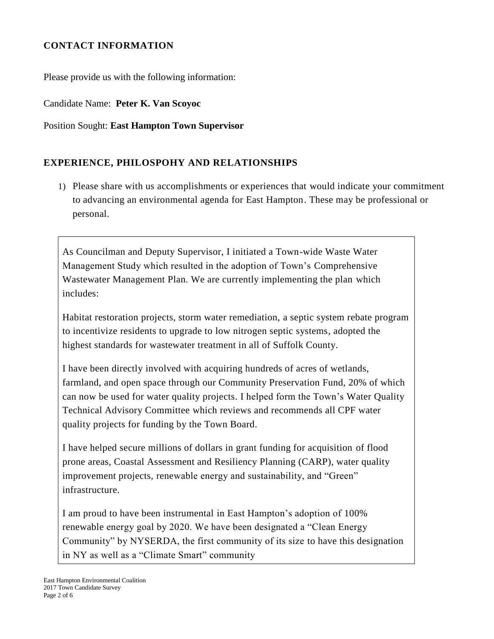## **CONTACT INFORMATION**

Please provide us with the following information:

Candidate Name: **Peter K. Van Scoyoc**

### Position Sought: **East Hampton Town Supervisor**

## **EXPERIENCE, PHILOSPOHY AND RELATIONSHIPS**

1) Please share with us accomplishments or experiences that would indicate your commitment to advancing an environmental agenda for East Hampton. These may be professional or personal.

As Councilman and Deputy Supervisor, I initiated a Town-wide Waste Water Management Study which resulted in the adoption of Town's Comprehensive Wastewater Management Plan. We are currently implementing the plan which includes:

Habitat restoration projects, storm water remediation, a septic system rebate program to incentivize residents to upgrade to low nitrogen septic systems, adopted the highest standards for wastewater treatment in all of Suffolk County.

I have been directly involved with acquiring hundreds of acres of wetlands, farmland, and open space through our Community Preservation Fund, 20% of which can now be used for water quality projects. I helped form the Town's Water Quality Technical Advisory Committee which reviews and recommends all CPF water quality projects for funding by the Town Board.

I have helped secure millions of dollars in grant funding for acquisition of flood prone areas, Coastal Assessment and Resiliency Planning (CARP), water quality improvement projects, renewable energy and sustainability, and "Green" infrastructure.

I am proud to have been instrumental in East Hampton's adoption of 100% renewable energy goal by 2020. We have been designated a "Clean Energy Community" by NYSERDA, the first community of its size to have this designation in NY as well as a "Climate Smart" community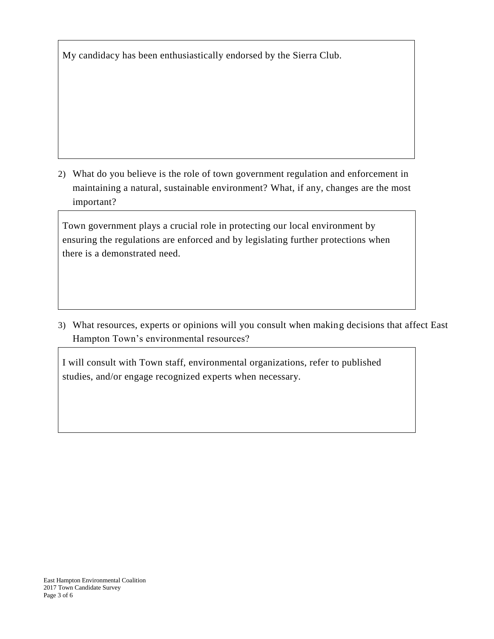My candidacy has been enthusiastically endorsed by the Sierra Club.

2) What do you believe is the role of town government regulation and enforcement in maintaining a natural, sustainable environment? What, if any, changes are the most important?

Town government plays a crucial role in protecting our local environment by ensuring the regulations are enforced and by legislating further protections when there is a demonstrated need.

3) What resources, experts or opinions will you consult when making decisions that affect East Hampton Town's environmental resources?

I will consult with Town staff, environmental organizations, refer to published studies, and/or engage recognized experts when necessary.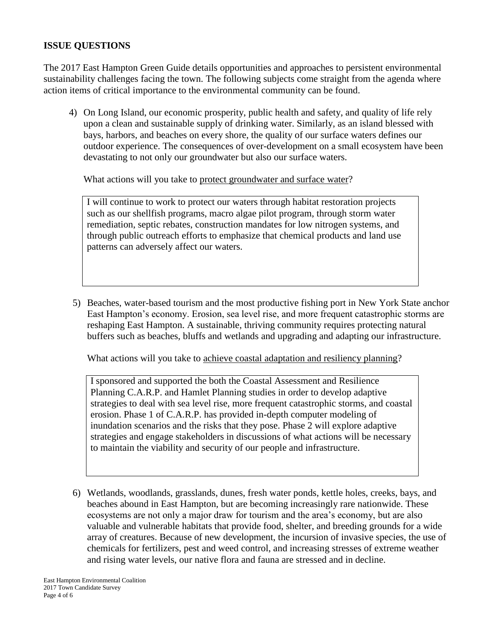### **ISSUE QUESTIONS**

The 2017 East Hampton Green Guide details opportunities and approaches to persistent environmental sustainability challenges facing the town. The following subjects come straight from the agenda where action items of critical importance to the environmental community can be found.

4) On Long Island, our economic prosperity, public health and safety, and quality of life rely upon a clean and sustainable supply of drinking water. Similarly, as an island blessed with bays, harbors, and beaches on every shore, the quality of our surface waters defines our outdoor experience. The consequences of over-development on a small ecosystem have been devastating to not only our groundwater but also our surface waters.

What actions will you take to protect groundwater and surface water?

I will continue to work to protect our waters through habitat restoration projects such as our shellfish programs, macro algae pilot program, through storm water remediation, septic rebates, construction mandates for low nitrogen systems, and through public outreach efforts to emphasize that chemical products and land use patterns can adversely affect our waters.

5) Beaches, water-based tourism and the most productive fishing port in New York State anchor East Hampton's economy. Erosion, sea level rise, and more frequent catastrophic storms are reshaping East Hampton. A sustainable, thriving community requires protecting natural buffers such as beaches, bluffs and wetlands and upgrading and adapting our infrastructure.

What actions will you take to achieve coastal adaptation and resiliency planning?

I sponsored and supported the both the Coastal Assessment and Resilience Planning C.A.R.P. and Hamlet Planning studies in order to develop adaptive strategies to deal with sea level rise, more frequent catastrophic storms, and coastal erosion. Phase 1 of C.A.R.P. has provided in-depth computer modeling of inundation scenarios and the risks that they pose. Phase 2 will explore adaptive strategies and engage stakeholders in discussions of what actions will be necessary to maintain the viability and security of our people and infrastructure.

6) Wetlands, woodlands, grasslands, dunes, fresh water ponds, kettle holes, creeks, bays, and beaches abound in East Hampton, but are becoming increasingly rare nationwide. These ecosystems are not only a major draw for tourism and the area's economy, but are also valuable and vulnerable habitats that provide food, shelter, and breeding grounds for a wide array of creatures. Because of new development, the incursion of invasive species, the use of chemicals for fertilizers, pest and weed control, and increasing stresses of extreme weather and rising water levels, our native flora and fauna are stressed and in decline.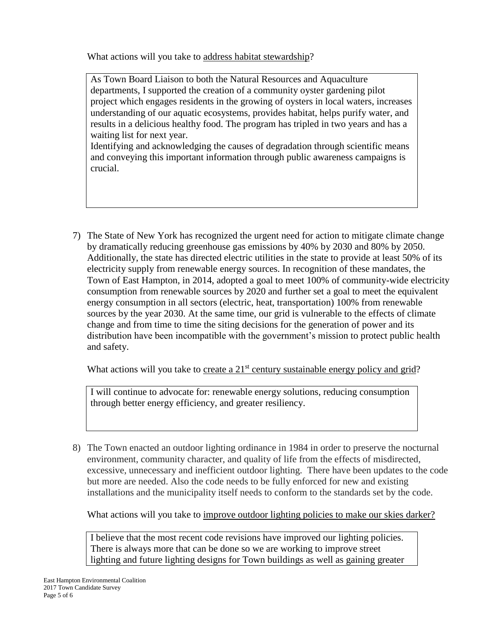What actions will you take to address habitat stewardship?

As Town Board Liaison to both the Natural Resources and Aquaculture departments, I supported the creation of a community oyster gardening pilot project which engages residents in the growing of oysters in local waters, increases understanding of our aquatic ecosystems, provides habitat, helps purify water, and results in a delicious healthy food. The program has tripled in two years and has a waiting list for next year.

Identifying and acknowledging the causes of degradation through scientific means and conveying this important information through public awareness campaigns is crucial.

7) The State of New York has recognized the urgent need for action to mitigate climate change by dramatically reducing greenhouse gas emissions by 40% by 2030 and 80% by 2050. Additionally, the state has directed electric utilities in the state to provide at least 50% of its electricity supply from renewable energy sources. In recognition of these mandates, the Town of East Hampton, in 2014, adopted a goal to meet 100% of community-wide electricity consumption from renewable sources by 2020 and further set a goal to meet the equivalent energy consumption in all sectors (electric, heat, transportation) 100% from renewable sources by the year 2030. At the same time, our grid is vulnerable to the effects of climate change and from time to time the siting decisions for the generation of power and its distribution have been incompatible with the government's mission to protect public health and safety.

What actions will you take to create a  $21<sup>st</sup>$  century sustainable energy policy and grid?

I will continue to advocate for: renewable energy solutions, reducing consumption through better energy efficiency, and greater resiliency.

8) The Town enacted an outdoor lighting ordinance in 1984 in order to preserve the nocturnal environment, community character, and quality of life from the effects of misdirected, excessive, unnecessary and inefficient outdoor lighting. There have been updates to the code but more are needed. Also the code needs to be fully enforced for new and existing installations and the municipality itself needs to conform to the standards set by the code.

What actions will you take to improve outdoor lighting policies to make our skies darker?

I believe that the most recent code revisions have improved our lighting policies. There is always more that can be done so we are working to improve street lighting and future lighting designs for Town buildings as well as gaining greater